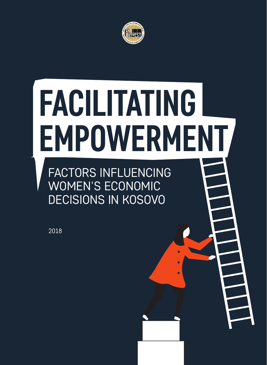

### FACTORS INFLUENCING WOMEN'S ECONOMIC DECISIONS IN KOSOVO **FACILITATING EMPOWERMENT**

2018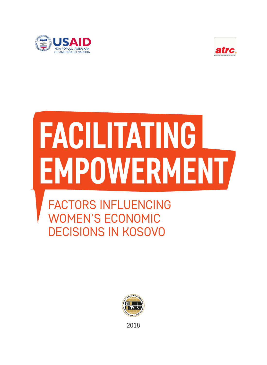



## **FACILITATING EMPOWERMENT**

FACTORS INFLUENCING WOMEN'S ECONOMIC DECISIONS IN KOSOVO



2018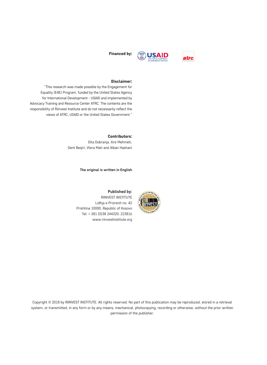



#### Disclaimer:

"This research was made possible by the Engagement for Equality (E4E) Program, funded by the United States Agency for International Development - USAID and implemented by Advocacy Training and Resource Center ATRC. The contents are the responsibility of Riinvest Institute and do not necessarily reflect the views of ATRC, USAID or the United States Government."

#### Contributors:

Dita Dobranja, Ilire Mehmeti, Gent Beqiri, Vlera Mati and Alban Hashani

#### **The original is written in English**



**Published by:** RIINVEST INSTITUTE Lidhja e Prizrenit no. 42 Prishtina 10000, Republic of Kosovo Tel: + 381 (0)38 244320; 223816 www.riinvestinstitute.org

Copyright © 2018 by RIINVEST INSTITUTE. All rights reserved. No part of this publication may be reproduced, stored in a retrieval system, or transmitted, in any form or by any means, mechanical, photocopying, recording or otherwise, without the prior written permission of the publisher.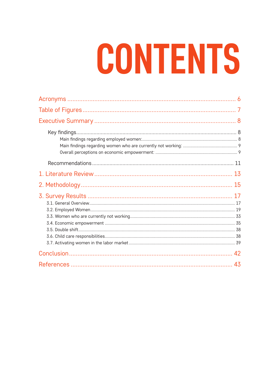## CONTENTS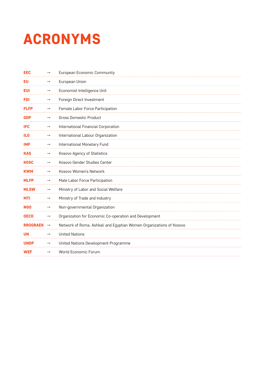### ACRONYMS

| <b>EEC</b>      | $\rightarrow$ | European Economic Community                                         |
|-----------------|---------------|---------------------------------------------------------------------|
| EU              | $\rightarrow$ | European Union                                                      |
| EUI             | $\rightarrow$ | Economist Intelligence Unit                                         |
| FDI             | $\rightarrow$ | Foreign Direct Investment                                           |
| <b>FLFP</b>     |               | Female Labor Force Participation                                    |
| <b>GDP</b>      | $\rightarrow$ | <b>Gross Domestic Product</b>                                       |
| <b>IFC</b>      | $\rightarrow$ | International Financial Corporation                                 |
| IL <sub>0</sub> | $\rightarrow$ | International Labour Organization                                   |
| <b>IMF</b>      | $\rightarrow$ | International Monetary Fund                                         |
| <b>KAS</b>      |               | <b>Kosovo Agency of Statistics</b>                                  |
| <b>KGSC</b>     | $\rightarrow$ | Kosovo Gender Studies Center                                        |
| <b>KWM</b>      | $\rightarrow$ | Kosovo Women's Network                                              |
| <b>MLFP</b>     | $\rightarrow$ | Male Labor Force Participation                                      |
| <b>MLSW</b>     | $\rightarrow$ | Ministry of Labor and Social Welfare                                |
| <b>MTI</b>      | $\rightarrow$ | Ministry of Trade and Industry                                      |
| <b>NGO</b>      | $\rightarrow$ | Non-governmental Organization                                       |
| <b>OECD</b>     | $\rightarrow$ | Organization for Economic Co-operation and Development              |
| <b>RROGRAEK</b> | $\rightarrow$ | Network of Roma, Ashkali and Egyptian Women Organizations of Kosovo |
| <b>UN</b>       | →             | <b>United Nations</b>                                               |
| <b>UNDP</b>     |               | United Nations Development Programme                                |
| <b>WEF</b>      | $\rightarrow$ | World Economic Forum                                                |
|                 |               |                                                                     |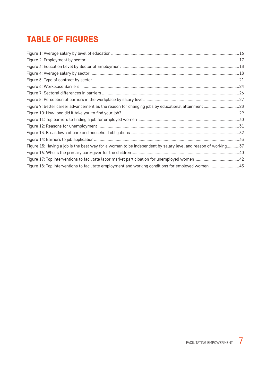#### TABLE OF FIGURES

| Figure 9: Better career advancement as the reason for changing jobs by educational attainment 28              |  |
|---------------------------------------------------------------------------------------------------------------|--|
|                                                                                                               |  |
|                                                                                                               |  |
|                                                                                                               |  |
|                                                                                                               |  |
|                                                                                                               |  |
| Figure 15: Having a job is the best way for a woman to be independent by salary level and reason of working37 |  |
|                                                                                                               |  |
|                                                                                                               |  |
| Figure 18: Top interventions to facilitate employment and working conditions for employed women 43            |  |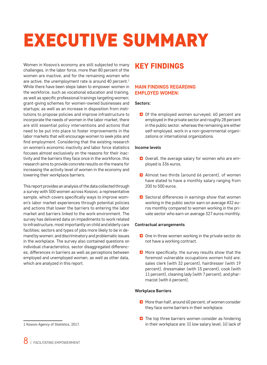### EXECUTIVE SUMMARY

Women in Kosovo's economy are still subjected to many challenges, in the labor force, more than 80 percent of the women are inactive, and for the remaining women who are active, the unemployment rate is around 40 percent.<sup>1</sup> While there have been steps taken to empower women in the workforce, such as vocational education and training, as well as specific professional trainings targeting women; grant-giving schemes for women-owned businesses and startups; as well as an increase in disposition from institutions to propose policies and improve infrastructure to incorporate the needs of women in the labor market, there are still essential policy interventions and actions that need to be put into place to foster improvements in the labor markets that will encourage women to seek jobs and find employment. Considering that the existing research on women's economic inactivity and labor force statistics focuses almost exclusively on the reasons for their inactivity and the barriers they face once in the workforce, this research aims to provide concrete results on the means for increasing the activity level of women in the economy and lowering their workplace barriers.

This report provides an analysis of the data collected through a survey with 500 women across Kosovo, a representative sample, which covers specifically ways to improve women's labor market experiences through potential policies and actions that lower the barriers to entering the labor market and barriers linked to the work environment. The survey has delivered data on impediments to work related to infrastructure, most importantly on child and elderly care facilities; sectors and types of jobs more likely to be in demand by women; and discriminatory and problematic issues in the workplace. The survey also contained questions on individual characteristics, sector disaggregated differences, differences in barriers as well as perceptions between employed and unemployed women, as well as other data, which are analyzed in this report.

#### 1 Kosovo Agency of Statistics, 2017.

#### KEY FINDINGS

#### **MAIN FINDINGS REGARDING EMPLOYED WOMEN:**

#### **Sectors:**

Of the employed women surveyed, 60 percent are employed in the private sector and roughly 28 percent in the public sector, whereas the remaining are either self-employed, work in a non-governmental organizations or international organizations.

#### **Income levels**

- O Overall, the average salary for women who are employed is 336 euros.
- **C** Almost two thirds (around 66 percent), of women have stated to have a monthly salary ranging from 200 to 500 euros.
- $\bullet$  Sectoral differences in earnings show that women working in the public sector earn on average 432 euros monthly compared to women working in the private sector who earn on average 327 euros monthly.

#### **Contractual arrangements**

- O One in three women working in the private sector do not have a working contract.
- **O** More specifically, the survey results show that the foremost vulnerable occupations women hold are: sales clerk (with 32 percent), hairdresser (with 19 percent), dressmaker (with 15 percent), cook (with 11 percent), cleaning lady (with 7 percent), and pharmacist (with 6 percent).

#### **Workplace Barriers**

- **O** More than half, around 60 percent, of women consider they face some barriers in their workplace.
- **O** The top three barriers women consider as hindering in their workplace are: (i) low salary level, (ii) lack of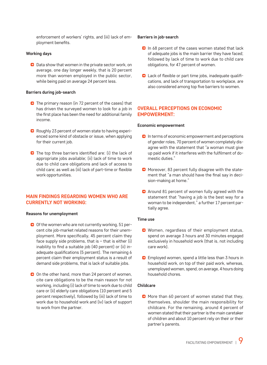enforcement of workers' rights, and (iii) lack of employment benefits.

#### **Working days**

D Data show that women in the private sector work, on average, one day longer weekly, that is 20 percent more than women employed in the public sector, while being paid on average 24 percent less.

#### **Barriers during job-search**

- **C** The primary reason (in 72 percent of the cases) that has driven the surveyed women to look for a job in the first place has been the need for additional family income.
- **B** Roughly 23 percent of women state to having experienced some kind of obstacle or issue, when applying for their current job.
- **D** The top three barriers identified are: (i) the lack of appropriate jobs available; (ii) lack of time to work due to child care obligations and lack of access to child care; as well as (iii) lack of part-time or flexible work opportunities.

#### **MAIN FINDINGS REGARDING WOMEN WHO ARE CURRENTLY NOT WORKING:**

#### **Reasons for unemployment**

- O Of the women who are not currently working, 51 percent cite job-market related reasons for their unemployment. More specifically, 45 percent claim they face supply side problems, that is  $-$  that is either (i) inability to find a suitable job (40 percent) or (ii) inadequate qualifications (5 percent). The remaining 6 percent claim their employment status is a result of demand side problems, that is lack of suitable jobs.
- O On the other hand, more than 24 percent of women, cite care obligations to be the main reason for not working, including (i) lack of time to work due to child care or (ii) elderly care obligations (10 percent and 5 percent respectively), followed by (iii) lack of time to work due to household work and (iv) lack of support to work from the partner.

#### **Barriers in job-search**

- **D** In 68 percent of the cases women stated that lack of adequate jobs is the main barrier they have faced; followed by lack of time to work due to child care obligations, for 47 percent of women.
- **Q** Lack of flexible or part time jobs, inadequate qualifications, and lack of transportation to workplace, are also considered among top five barriers to women.

#### **OVERALL PERCEPTIONS ON ECONOMIC EMPOWERMENT:**

#### **Economic empowerment**

- $\Box$  In terms of economic empowerment and perceptions of gender roles, 70 percent of women completely disagree with the statement that "a woman must give up paid work if it interferes with the fulfilment of domestic duties."
- **O** Moreover, 83 percent fully disagree with the statement that "a man should have the final say in decision-making at home."
- **a** Around 81 percent of women fully agreed with the statement that "having a job is the best way for a woman to be independent," a further 17 percent partially agree.

#### **Time use**

- **O** Women, regardless of their employment status, spend on average 3 hours and 30 minutes engaged exclusively in household work (that is, not including care work).
- **D** Employed women, spend a little less than 3 hours in household work, on top of their paid work, whereas, unemployed women, spend, on average, 4 hours doing household chores.

#### **Childcare**

**O** More than 60 percent of women stated that they, themselves, shoulder the main responsibility for childcare. For the remaining, around 4 percent of women stated that their partner is the main caretaker of children and about 10 percent rely on their or their partner's parents.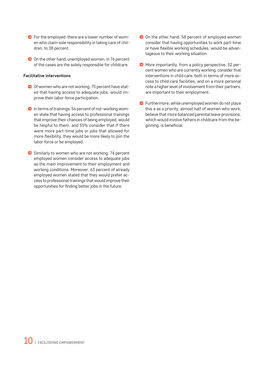- **D** For the employed, there are a lower number of women who claim sole responsibility in taking care of children, to 38 percent.
- On the other hand, unemployed women, in 76 percent of the cases are the solely responsible for childcare.

#### **Facilitative interventions**

- O Of women who are not working, 75 percent have stated that having access to adequate jobs, would improve their labor force participation.
- **D** In terms of trainings, 56 percent of not-working women state that having access to professional trainings that improve their chances of being employed, would be helpful to them, and 55% consider that if there were more part-time jobs or jobs that allowed for more flexibility, they would be more likely to join the labor force or be employed.
- Similarly to women who are not working, 74 percent employed women consider access to adequate jobs as the main improvement to their employment and working conditions. Moreover, 63 percent of already employed women stated that they would prefer access to professional trainings that would improve their opportunities for finding better jobs in the future.
- O On the other hand, 58 percent of employed women consider that having opportunities to work part-time or have flexible working schedules, would be advantageous to their working situation.
- **D** More importantly, from a policy perspective, 52 percent women who are currently working, consider that interventions in child care, both in terms of more access to child care facilities, and on a more personal note a higher level of involvement from their partners, are important to their employment.
- **D** Furthermore, while unemployed women do not place this a as a priority, almost half of women who work, believe that more balanced parental leave provisions, which would involve fathers in childcare from the beginning, is beneficial.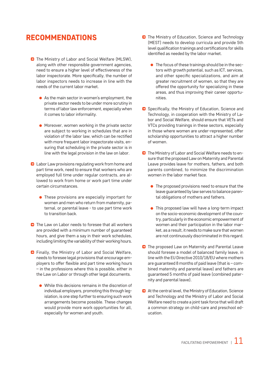#### RECOMMENDATIONS

- **D** The Ministry of Labor and Social Welfare (MLSW), along with other responsible government agencies, need to ensure a higher level of effectiveness of the labor inspectorate. More specifically, the number of labor inspectors needs to increase in line with the needs of the current labor market.
	- As the main sector in women's employment, the private sector needs to be under more scrutiny in terms of labor law enforcement, especially when it comes to labor informality.
	- **Moreover, women working in the private sector** are subject to working in schedules that are in violation of the labor law, which can be rectified with more frequent labor inspectorate visits, ensuring that scheduling in the private sector is in line with the legal provision in the law on labor.
- **D** Labor Law provisions regulating work from home and part time work, need to ensure that workers who are employed full time under regular contracts, are allowed to work from home or work part time under certain circumstances.
	- These provisions are especially important for women and men who return from maternity, paternal, or parental leave - to use part time work to transition back.
- **D** The Law on Labor needs to foresee that all workers are provided with a minimum number of guaranteed hours, and give them a say in their work schedules, including limiting the variability of their working hours.
- **D** Finally, the Ministry of Labor and Social Welfare, needs to foresee legal provisions that encourage employers to offer flexible and part time working hours – in the professions where this is possible, either in the Law on Labor or through other legal documents.
	- While this decisions remains in the discretion of individual employers, promoting this through legislation, is one step further to ensuring such work arrangements become possible. These changes would provide more work opportunities for all, especially for women and youth.
- **D** The Ministry of Education, Science and Technology (MEST) needs to develop curricula and provide 5th level qualification trainings and certifications for skills identified as needed by the labor market.
	- The focus of these trainings should be in the sectors with growth potential, such as ICT, services, and other specific specializations, and aim at greater recruitment of women, so that they are offered the opportunity for specializing in these areas, and thus improving their career opportunities.
- **B** Specifically, the Ministry of Education, Science and Technology, in cooperation with the Ministry of Labor and Social Welfare, should ensure that VETs and VTCs providing trainings in these sectors, especially in those where women are under-represented, offer scholarship opportunities to attract a higher number of women.
- **D** The Ministry of Labor and Social Welfare needs to ensure that the proposed Law on Maternity and Parental Leave provides leave for mothers, fathers, and both parents combined, to minimize the discrimination women in the labor market face.
	- The proposed provisions need to ensure that the leave guaranteed by law serves to balance parental obligations of mothers and fathers.
	- This proposed law will have a long-term impact on the socio-economic development of the country, particularly in the economic empowerment of women and their participation in the labor market, as a result, it needs to make sure that women are not continuously discriminated in this regard.
- **C** The proposed Law on Maternity and Parental Leave should foresee a model of balanced family leave, in line with the EU Directive 2010/18/EU where mothers are guaranteed 8 months of paid leave (that is – combined maternity and parental leave) and fathers are guaranteed 5 months of paid leave (combined paternity and parental leave).
- **C** At the central level, the Ministry of Education, Science and Technology and the Ministry of Labor and Social Welfare need to create a joint task force that will draft a common strategy on child-care and preschool education.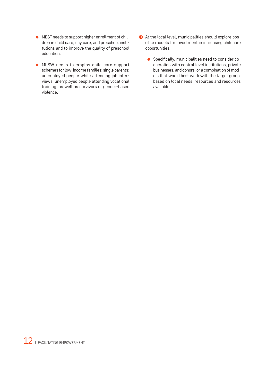- MEST needs to support higher enrollment of children in child care, day care, and preschool institutions and to improve the quality of preschool education.
- MLSW needs to employ child care support schemes for low-income families; single parents; unemployed people while attending job interviews; unemployed people attending vocational training; as well as survivors of gender-based violence.
- At the local level, municipalities should explore possible models for investment in increasing childcare opportunities.
	- Specifically, municipalities need to consider cooperation with central level institutions, private businesses, and donors, or a combination of models that would best work with the target group, based on local needs, resources and resources available.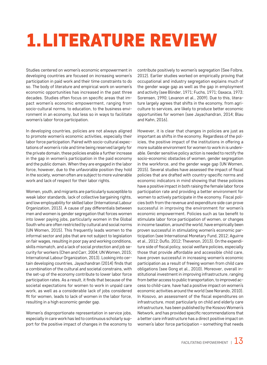### 1.LITERATURE REVIEW

Studies centered on women's economic empowerment in developing countries are focused on increasing women's participation in paid work and their time constraints to do so. The body of literature and empirical work on women's economic opportunities has increased in the past three decades. Studies often focus on specific areas that impact women's economic empowerment, ranging from socio-cultural norms, to education, to the business environment in an economy, but less so in ways to facilitate women's labor force participation.

In developing countries, policies are not always aligned to promote women's economic activities, especially their labor force participation. Paired with socio-cultural expectations of women's role and time being reserved largely for the private domain, these policies enable a further increase in the gap in women's participation in the paid economy and the public domain. When they are engaged in the labor force, however, due to the unfavorable position they hold in the society, women often are subject to more vulnerable work and lack of respect for their labor rights.

Women, youth, and migrants are particularly susceptible to weak labor standards, lack of collective bargaining rights, and low employability for skilled labor (International Labour Organization, 2013). A cause of pay differentials between men and women is gender segregation that forces women into lower paying jobs, particularly women in the Global South who are often restricted by cultural and social norms (UN Women, 2015). This frequently leads women to the informal sector and jobs that are not subject to legislation on fair wages, resulting in poor pay and working conditions, skills mismatch, and a lack of social protection and job security for workers (Chen and Carr, 2004; UN Women, 2015; International Labour Organization, 2013). Looking into certain developing countries, Jayachandran (2014) finds that a combination of the cultural and societal constrains, with the set-up of the economy contribute to lower labor force participation rates. As a result, it finds that because of the societal expectations for women to work in unpaid care work, as well as a considerable lack of jobs considered fit for women, leads to lack of women in the labor force, resulting in a high economic gender gap.

Women's disproportionate representation in service jobs, especially in care work has led to continuous scholarly support for the positive impact of changes in the economy to contribute positively to women's segregation (See Folbre, 2012). Earlier studies worked on empirically proving that occupational and industry segregation explains much of the gender wage gap as well as the gap in employment and activity (see Blinder, 1971; Fuchs, 1971; Oaxaca, 1973; Sorensen, 1990; Levanon et al., 2009). Due to this, literature largely agrees that shifts in the economy, from agriculture to services, are likely to produce better economic opportunities for women (see Jayachandran, 2014; Blau and Kahn, 2016).

However, it is clear that changes in policies are just as important as shifts in the economy. Regardless of the policies, the positive impact of the institutions in offering a more suitable environment for women to work in is undeniable. Gender sensitive policy action is needed to rectify the socio-economic obstacles of women, gender segregation in the workforce, and the gender wage gap (UN Women, 2015). Several studies have assessed the impact of fiscal policies that are drafted with country-specific norms and economic indicators in mind showing that these policies have a positive impact in both raising the female labor force participation rate and providing a better environment for women to actively participate in the economy. Fiscal policies both from the revenue and expenditure side can prove successful in improving the environment for women's economic empowerment. Policies such as tax benefit to stimulate labor force participation of women, or changes in income taxation, around the world, have empirically been proven successful in stimulating women's economic participation (see International Monetary Fund, 2012; Aguirre et al., 2012; Duflo, 2012; Thevenon, 2013). On the expenditure side of fiscal policy, social welfare policies, especially those that provide affordable and accessible child care, have proven successful in increasing women's economic participation as a result of freeing women from child care obligations (see Gong et al., 2010). Moreover, overall institutional investment in improving infrastructure, ranging from better access to public transportation, to improved access to child-care, have had a positive impact on women's economic activities around the world (see Norando, 2010). In Kosovo, an assessment of the fiscal expenditures on infrastructure, most particularly on child and elderly care infrastructure, has been published by the Kosovo Women's Network, and has provided specific recommendations that a better care infrastructure has a direct positive impact on women's labor force participation – something that needs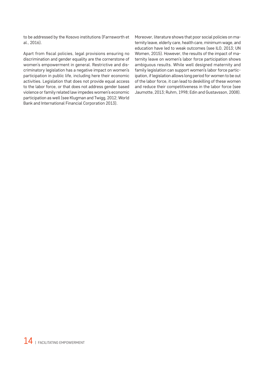to be addressed by the Kosovo institutions (Farnsworth et al., 2016).

Apart from fiscal policies, legal provisions ensuring no discrimination and gender equality are the cornerstone of women's empowerment in general. Restrictive and discriminatory legislation has a negative impact on women's participation in public life, including here their economic activities. Legislation that does not provide equal access to the labor force, or that does not address gender based violence or family related law impedes women's economic participation as well (see Klugman and Twigg, 2012; World Bank and International Financial Corporation 2013).

Moreover, literature shows that poor social policies on maternity leave, elderly care, health care, minimum wage, and education have led to weak outcomes (see ILO, 2013; UN Women, 2015). However, the results of the impact of maternity leave on women's labor force participation shows ambiguous results. While well designed maternity and family legislation can support women's labor force participation, if legislation allows long period for women to be out of the labor force, it can lead to deskilling of these women and reduce their competitiveness in the labor force (see Jaumotte, 2013; Ruhm, 1998; Edin and Gustavsson, 2008).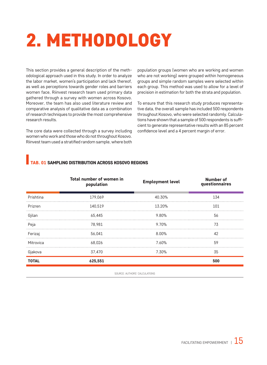### 2. METHODOLOGY

This section provides a general description of the methodological approach used in this study. In order to analyze the labor market, women's participation and lack thereof, as well as perceptions towards gender roles and barriers women face, Riinvest research team used primary data gathered through a survey with women across Kosovo. Moreover, the team has also used literature review and comparative analysis of qualitative data as a combination of research techniques to provide the most comprehensive research results.

The core data were collected through a survey including women who work and those who do not throughout Kosovo. Riinvest team used a stratified random sample, where both population groups (women who are working and women who are not working) were grouped within homogeneous groups and simple random samples were selected within each group. This method was used to allow for a level of precision in estimation for both the strata and population.

To ensure that this research study produces representative data, the overall sample has included 500 respondents throughout Kosovo, who were selected randomly. Calculations have shown that a sample of 500 respondents is sufficient to generate representative results with an 85 percent confidence level and a 4 percent margin of error.

#### TAB. 01 SAMPLING DISTRIBUTION ACROSS KOSOVO REGIONS

|              | Total number of women in<br>population | <b>Employment level</b> | <b>Number of</b><br>questionnaires |
|--------------|----------------------------------------|-------------------------|------------------------------------|
| Prishtina    | 179,069                                | 40.30%                  | 134                                |
| Prizren      | 140.519                                | 13.20%                  | 101                                |
| Gjilan       | 65.445                                 | 9.80%                   | 56                                 |
| Peja         | 78.981                                 | 9.70%                   | 73                                 |
| Ferizaj      | 56.041                                 | $8.00\%$                | 42                                 |
| Mitrovica    | 68.026                                 | 7.60%                   | 59                                 |
| Gjakova      | 37,470                                 | 7.30%                   | 35                                 |
| <b>TOTAL</b> | 625,551                                |                         | 500                                |

SOURCE: AUTHORS' CALCULATIONS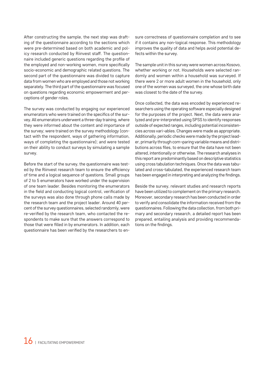After constructing the sample, the next step was drafting of the questionnaire according to the sections which were pre-determined based on both academic and policy research conducted by Riinvest staff. The questionnaire included generic questions regarding the profile of the employed and non-working women, more specifically socio-economic and demographic related questions. The second part of the questionnaire was divided to capture data from women who are employed and those not working separately. The third part of the questionnaire was focused on questions regarding economic empowerment and perceptions of gender roles.

The survey was conducted by engaging our experienced enumerators who were trained on the specifics of the survey. All enumerators underwent a three-day training, where they were informed about the content and importance of the survey; were trained on the survey methodology (contact with the respondent, ways of gathering information, ways of completing the questionnaire); and were tested on their ability to conduct surveys by simulating a sample survey.

Before the start of the survey, the questionnaire was tested by the Riinvest research team to ensure the efficiency of time and a logical sequence of questions. Small groups of 2 to 5 enumerators have worked under the supervision of one team leader. Besides monitoring the enumerators in the field and conducting logical control, verification of the surveys was also done through phone calls made by the research team and the project leader. Around 40 percent of the survey questionnaires, selected randomly, were re-verified by the research team, who contacted the respondents to make sure that the answers correspond to those that were filled in by enumerators. In addition, each questionnaire has been verified by the researchers to en-

sure correctness of questionnaire completion and to see if it contains any non-logical response. This methodology improves the quality of data and helps avoid potential defects within the survey.

The sample unit in this survey were women across Kosovo, whether working or not. Households were selected randomly and women within a household was surveyed. If there were 2 or more adult women in the household, only one of the women was surveyed, the one whose birth date was closest to the date of the survey.

Once collected, the data was encoded by experienced researchers using the operating software especially designed for the purposes of the project. Next, the data were analyzed and pre-interpreted using SPSS to identify responses outside of expected ranges, including potential inconsistencies across vari¬ables. Changes were made as appropriate. Additionally, periodic checks were made by the project leader, primarily through com¬paring variable means and distributions across files, to ensure that the data have not been altered, intentionally or otherwise. The research analyses in this report are predominantly based on descriptive statistics using cross tabulation techniques. Once the data was tabulated and cross-tabulated, the experienced research team has been engaged in interpreting and analyzing the findings.

Beside the survey, relevant studies and research reports have been utilized to complement on the primary research. Moreover, secondary research has been conducted in order to verify and consolidate the information received from the questionnaires. Following the data collection, from both primary and secondary research, a detailed report has been prepared, entailing analysis and providing recommendations on the findings.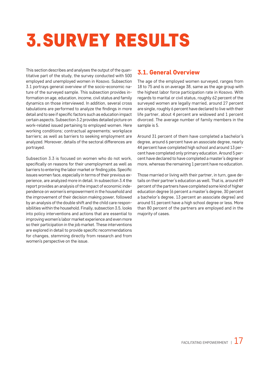### 3.SURVEY RESULTS

This section describes and analyses the output of the quantitative part of the study, the survey conducted with 500 employed and unemployed women in Kosovo. Subsection 3.1 portrays general overview of the socio-economic nature of the surveyed sample. This subsection provides information on age, education, income, civil status and family dynamics on those interviewed. In addition, several cross tabulations are performed to analyze the findings in more detail and to see if specific factors such as education impact certain aspects. Subsection 3.2 provides detailed picture on work-related issued pertaining to employed women. Here working conditions; contractual agreements; workplace barriers; as well as barriers to seeking employment are analyzed. Moreover, details of the sectoral differences are portrayed.

Subsection 3.3 is focused on women who do not work, specifically on reasons for their unemployment as well as barriers to entering the labor market or finding jobs. Specific issues women face, especially in terms of their previous experience, are analyzed more in detail. In subsection 3.4 the report provides an analysis of the impact of economic independence on women's empowerment in the household and the improvement of their decision making power, followed by an analysis of the double shift and the child care responsibilities within the household. Finally, subsection 3.5, looks into policy interventions and actions that are essential to improving women's labor market experience and even more so their participation in the job market. These interventions are explored in detail to provide specific recommendations for changes, stemming directly from research and from women's perspective on the issue.

#### 3.1. General Overview

The age of the employed women surveyed, ranges from 18 to 75 and is on average 38, same as the age group with the highest labor force participation rate in Kosovo. With regards to marital or civil status, roughly 62 percent of the surveyed women are legally married, around 27 percent are single, roughly 6 percent have declared to live with their life partner, about 4 percent are widowed and 1 percent divorced. The average number of family members in the sample is 5.

Around 31 percent of them have completed a bachelor's degree, around 6 percent have an associate degree, nearly 44 percent have completed high school and around 13 percent have completed only primary education. Around 5 percent have declared to have completed a master's degree or more, whereas the remaining 1 percent have no education.

Those married or living with their partner, in turn, gave details on their partner's education as well. That is, around 49 percent of the partners have completed some kind of higher education degree (6 percent a master's degree, 30 percent a bachelor's degree, 13 percent an associate degree) and around 51 percent have a high school degree or less. More than 80 percent of the partners are employed and in the majority of cases.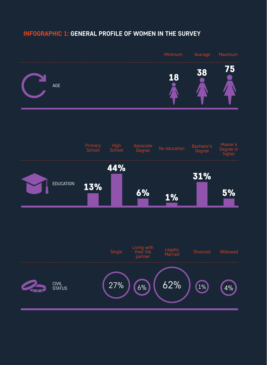#### **INFOGRAPHIC 1: GENERAL PROFILE OF WOMEN IN THE SURVEY**

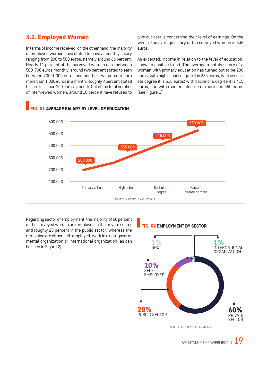#### 3.2. Employed Women

In terms of income received, on the other hand, the majority of employed women have stated to have a monthly salary ranging from 200 to 500 euros, namely around 66 percent. Nearly 11 percent of the surveyed women earn between 500-700 euros monthly, around two percent stated to earn between 700-1,000 euros and another two percent earn more than 1,000 euros in a month. Roughly 9 percent stated to earn less than 200 euros a month. Out of the total number of interviewed women, around 10 percent have refused to give out details concerning their level of earnings. On the whole, the average salary of the surveyed women is 336 euros.

As expected, income in relation to the level of education, shows a positive trend. The average monthly salary of a woman with primary education has turned out to be 200 euros; with high school degree it is 335 euros; with associate degree it is 318 euros; with bachelor's degree it is 415 euros; and with master's degree or more it is 550 euros (see Figure 1).



#### **G. 01 AVERAGE SALARY BY LEVEL OF EDUCATION**

Regarding sector of employment, the majority of 60 percent of the surveyed women are employed in the private sector and roughly 28 percent in the public sector, whereas the remaining are either self-employed, work in a non-governmental organization or international organization (as can be seen in Figure 2).

#### FIG. 02 EMPLOYMENT BY SECTOR

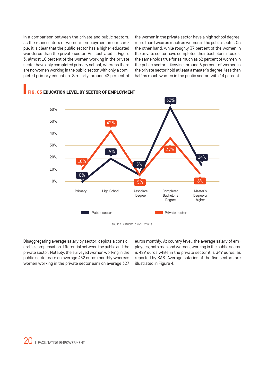In a comparison between the private and public sectors, as the main sectors of women's employment in our sample, it is clear that the public sector has a higher educated workforce than the private sector. As illustrated in Figure 3, almost 10 percent of the women working in the private sector have only completed primary school, whereas there are no women working in the public sector with only a completed primary education. Similarly, around 42 percent of the women in the private sector have a high school degree, more than twice as much as women in the public sector. On the other hand, while roughly 37 percent of the women in the private sector have completed their bachelor's studies, the same holds true for as much as 62 percent of women in the public sector. Likewise, around 6 percent of women in the private sector hold at least a master's degree, less than half as much women in the public sector, with 14 percent.



#### G 03 EDUCATION LEVEL BY SECTOR OF EMPLOYMENT

Disaggregating average salary by sector, depicts a considerable compensation differential between the public and the private sector. Notably, the surveyed women working in the public sector earn on average 432 euros monthly whereas women working in the private sector earn on average 327

euros monthly. At country level, the average salary of employees, both man and women, working in the public sector is 429 euros while in the private sector it is 349 euros, as reported by KAS. Average salaries of the five sectors are illustrated in Figure 4.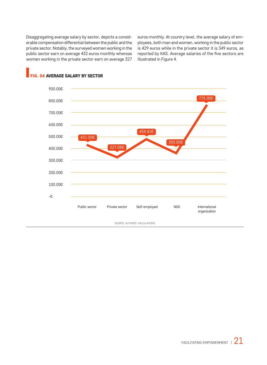Disaggregating average salary by sector, depicts a considerable compensation differential between the public and the private sector. Notably, the surveyed women working in the public sector earn on average 432 euros monthly whereas women working in the private sector earn on average 327 euros monthly. At country level, the average salary of employees, both man and women, working in the public sector is 429 euros while in the private sector it is 349 euros, as reported by KAS. Average salaries of the five sectors are illustrated in Figure 4.



#### FIG. 04 AVERAGE SALARY BY SECTOR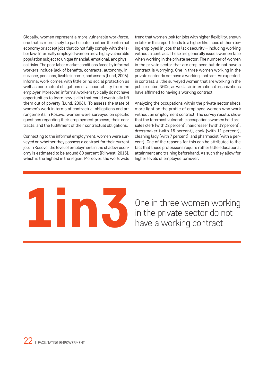Globally, women represent a more vulnerable workforce, one that is more likely to participate in either the informal economy or accept jobs that do not fully comply with the labor law. Informally employed women are a highly vulnerable population subject to unique financial, emotional, and physical risks. The poor labor market conditions faced by informal workers include lack of benefits, contracts, autonomy, insurance, pensions, livable income, and assets (Lund, 2006). Informal work comes with little or no social protection as well as contractual obligations or accountability from the employer. Moreover, informal workers typically do not have opportunities to learn new skills that could eventually lift them out of poverty (Lund, 2006). To assess the state of women's work in terms of contractual obligations and arrangements in Kosovo, women were surveyed on specific questions regarding their employment process, their contracts, and the fulfillment of their contractual obligations.

Connecting to the informal employment, women were surveyed on whether they possess a contract for their current job. In Kosovo, the level of employment in the shadow economy is estimated to be around 80 percent (Riinvest, 2015), which is the highest in the region. Moreover, the worldwide trend that women look for jobs with higher flexibility, shown in later in this report, leads to a higher likelihood of them being employed in jobs that lack security – including working without a contract. These are generally issues women face when working in the private sector. The number of women in the private sector that are employed but do not have a contract is worrying. One in three women working in the private sector do not have a working contract. As expected, in contrast, all the surveyed women that are working in the public sector, NGOs, as well as in international organizations have affirmed to having a working contract.

Analyzing the occupations within the private sector sheds more light on the profile of employed women who work without an employment contract. The survey results show that the foremost vulnerable occupations women hold are: sales clerk (with 32 percent), hairdresser (with 19 percent), dressmaker (with 15 percent), cook (with 11 percent), cleaning lady (with 7 percent), and pharmacist (with 6 percent). One of the reasons for this can be attributed to the fact that these professions require rather little educational attainment and training beforehand. As such they allow for higher levels of employee turnover.

# One in three women working<br>in the private sector do not

in the private sector do not have a working contract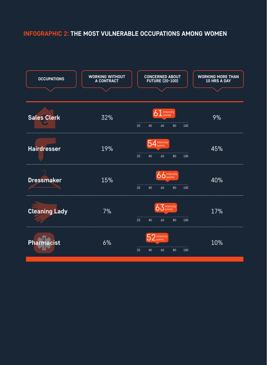#### **INFOGRAPHIC 2: THE MOST VULNERABLE OCCUPATIONS AMONG WOMEN**

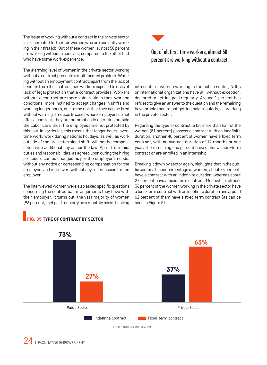The issue of working without a contract in the private sector is exacerbated further for women who are currently working in their first job. Out of these women, almost 50 percent are working without a contract, compared to the other half who have some work experience.

The alarming level of women in the private sector working without a contract presents a multifaceted problem. Working without an employment contract, apart from the lack of benefits from the contract, has workers exposed to risks of lack of legal protection that a contract provides. Workers without a contract are more vulnerable in their working conditions, more inclined to accept changes in shifts and working longer hours, due to the risk that they can be fired without warning or notice. In cases where employers do not offer a contract, they are automatically operating outside the Labor Law, thus, the employees are not protected by this law. In particular, this means that longer hours, overtime work, work during national holidays, as well as work outside of the pre-determined shift, will not be compensated with additional pay as per the law. Apart from this, duties and responsibilities, as agreed upon during the hiring procedure can be changed as per the employer's needs, without any notice or corresponding compensation for the employee, and moreover, without any repercussion for the employer.

The interviewed women were also asked specific questions concerning the contractual arrangements they have with their employer. It turns out, the vast majority of women (93 percent), get paid regularly on a monthly basis. Looking



#### Out of all first-time workers, almost 50 percent are working without a contract

into sectors, women working in the public sector, NGOs or international organizations have all, without exception, declared to getting paid regularly. Around 1 percent has refused to give an answer to the question and the remaining have proclaimed to not getting paid regularly, all working in the private sector.

Regarding the type of contract, a bit more than half of the women (51 percent) possess a contract with an indefinite duration, another 48 percent of women have a fixed term contract, with an average duration of 12 months or one year. The remaining one percent have either a short-term contract or are enrolled in an internship.

Breaking it down by sector again, highlights that in the public sector a higher percentage of women, about 73 percent, have a contract with an indefinite duration, whereas about 27 percent have a fixed term contract. Meanwhile, almost 36 percent of the women working in the private sector have a long-term contract with an indefinite duration and around 62 percent of them have a fixed term contract (as can be seen in Figure 5).



#### FIG. 05 TYPE OF CONTRACT BY SECTOR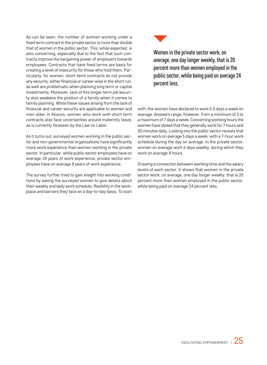As can be seen, the number of women working under a fixed term contract in the private sector is more than double that of women in the public sector. This, while expected, is also concerning, especially due to the fact that such contracts improve the bargaining power of employers towards employees. Contracts that have fixed terms are basis for creating a level of insecurity for those who hold them. Particularly, for women, short-term contracts do not provide any security, either financial or career wise in the short run, as well are problematic when planning long term or capital investments. Moreover, lack of this longer term job security also weakens the position of a family when it comes to family planning. While these issues arising from the lack of financial and career security are applicable to women and men alike, in Kosovo, women who work with short term contracts also face uncertainties around maternity leave, as is currently foreseen by the Law on Labor.

As it turns out, surveyed women working in the public sector and non-governmental organizations have significantly more work experience than women working in the private sector. In particular, while public sector employees have on average 18 years of work experience, private sector employees have on average 8 years of work experience.

The survey further tried to gain insight into working conditions by asking the surveyed women to give details about their weekly and daily work schedule, flexibility in the workplace and barriers they face on a day-to-day basis. To start



Women in the private sector work, on average, one day longer weekly, that is 20 percent more than women employed in the public sector, while being paid on average 24 percent less.

with, the women have declared to work 5.5 days a week on average. Answers range, however, from a minimum of 3 to a maximum of 7 days a week. Concerning working hours the women have stated that they generally work for 7 hours and 30 minutes daily. Looking into the public sector reveals that women work on average 5 days a week, with a 7-hour work schedule during the day on average. In the private sector, women on average work 6 days weekly, during which they work on average 8 hours.

Drawing a connection between working time and the salary levels of each sector, it shows that women in the private sector work, on average, one day longer weekly, that is 20 percent more than women employed in the public sector, while being paid on average 24 percent less.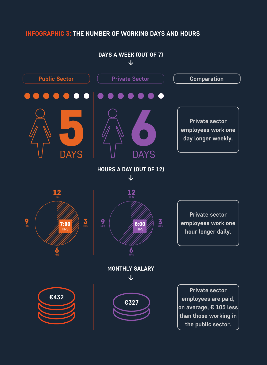#### **INFOGRAPHIC 3: THE NUMBER OF WORKING DAYS AND HOURS**

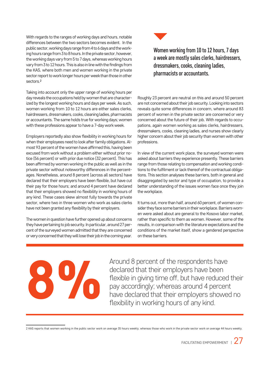With regards to the ranges of working days and hours, notable differences between the two sectors becomes evident. In the public sector, working days range from 4 to 6 days and the working hours range from 3 to 8 hours. In the private sector, however, the working days vary from 5 to 7 days, whereas working hours vary from 3 to 12 hours. This is also in line with the findings from the KAS, where both men and women working in the private sector report to work longer hours per week than those in other sectors.2

Taking into account only the upper range of working hours per day reveals the occupations held by women that are characterized by the longest working hours and days per week. As such, women working from 10 to 12 hours are either sales clerks, hairdressers, dressmakers, cooks, cleaning ladies, pharmacists or accountants. The same holds true for working days; women with these professions appear to have a 7-day work week.

Employers reportedly also show flexibility in working hours for when their employees need to look after family obligations. Almost 93 percent of the women have affirmed this, having been excused from work without a problem either without prior notice (56 percent) or with prior due notice (32 percent). This has been affirmed by women working in the public as well as in the private sector without noteworthy differences in the percentages. Nonetheless, around 8 percent (across all sectors) have declared that their employers have been flexible, but have cut their pay for those hours; and around 4 percent have declared that their employers showed no flexibility in working hours of any kind. These cases skew almost fully towards the private sector, where two in three women who work as sales clerks have not been granted any flexibility by their employers.

The women in question have further opened up about concerns they have pertaining to job security. In particular, around 27 percent of the surveyed women admitted that they are concerned or very concerned that they will lose their job in the coming year.



Women working from 10 to 12 hours, 7 days a week are mostly sales clerks, hairdressers, dressmakers, cooks, cleaning ladies, pharmacists or accountants.

Roughly 23 percent are neutral on this and around 50 percent are not concerned about their job security. Looking into sectors reveals quite some differences in concern, where around 83 percent of women in the private sector are concerned or very concerned about the future of their job. With regards to occupations, again women working as sales clerks, hairdressers, dressmakers, cooks, cleaning ladies, and nurses show clearly higher concern about their job security than women with other professions.

In view of the current work place, the surveyed women were asked about barriers they experience presently. These barriers range from those relating to compensation and working conditions to the fulfilment or lack thereof of the contractual obligations. This section analyses these barriers, both in general and disaggregated by sector and type of occupation, to provide a better understanding of the issues women face once they join the workplace.

It turns out, more than half, around 60 percent, of women consider they face some barriers in their workplace. Barriers women were asked about are general to the Kosovo labor market, rather than specific to them as women. However, some of the results, in comparison with the literature expectations and the conditions of the market itself, show a gendered perspective on these barriers.

Around 8 percent of the respondents have<br>declared that their employers have been<br>flexible in giving time off, but have reduced<br>pay accordingly; whereas around 4 percen<br>have declared that their employers showed<br>flexibility declared that their employers have been flexible in giving time off, but have reduced their pay accordingly; whereas around 4 percent have declared that their employers showed no flexibility in working hours of any kind.

<sup>2</sup> KAS reports that women working in the public sector work on average 35 hours weekly, whereas those who work in the private sector work on average 44 hours weekly.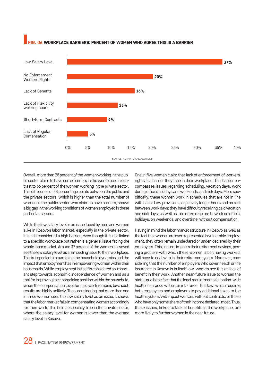#### **DA WORKPLACE BARRIERS: PERCENT OF WOMEN WHO AGREE THIS IS A BARRIER**



Overall, more than 28 percent of the women working in the public sector claim to have some barriers in the workplace, in contrast to 66 percent of the women working in the private sector. This difference of 38 percentage points between the public and the private sectors, which is higher than the total number of women in the public sector who claim to have barriers, shows a big gap in the working conditions of women employed in these particular sectors.

While the low salary level is an issue faced by men and women alike in Kosovo's labor market, especially in the private sector, it is still considered a high barrier, even though it is not linked to a specific workplace but rather is a general issue facing the whole labor market. Around 37 percent of the women surveyed see the low salary level as an impeding issue to their workplace. This is important in examining the household dynamics and the impact that employment has in empowering women within their households. While employment in itself is considered an important step towards economic independence of women and as a tool for improving their bargaining position within the household, when the compensation level for paid work remains low, such results are highly unlikely. Thus, considering that more than one in three women sees the low salary level as an issue, it shows that the labor market fails in compensating women accordingly for their work. This being especially true in the private sector, where the salary level for women is lower than the average salary level in Kosovo.

One in five women claim that lack of enforcement of workers' rights is a barrier they face in their workplace. This barrier encompasses issues regarding scheduling, vacation days, work during official holidays and weekends, and sick days. More specifically, these women work in schedules that are not in line with Labor Law provisions, especially longer hours and no rest between work days; they have difficulty receiving paid vacation and sick days; as well as, are often required to work on official holidays, on weekends, and overtime, without compensation.

Having in mind the labor market structure in Kosovo as well as the fact that women are over-represented in vulnerable employment, they often remain undeclared or under-declared by their employers. This, in turn, impacts their retirement savings, posing a problem with which these women, albeit having worked, will have to deal with in their retirement years. Moreover, considering that the number of employers who cover health or life insurance in Kosovo is in itself low, women see this as lack of benefit in their work. Another near-future issue to worsen the status quo is the fact that the legal requirements for nation-wide health insurance will enter into force. This law, which requires both employees and employers to pay additional taxes to the health system, will impact workers without contracts, or those who have only some share of their income declared, most. Thus, these issues, linked to lack of benefits in the workplace, are more likely to further worsen in the near future.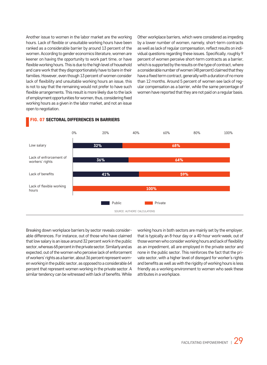Another issue to women in the labor market are the working hours. Lack of flexible or unsuitable working hours have been ranked as a considerable barrier by around 13 percent of the women. According to gender economics literature, women are keener on having the opportunity to work part time, or have flexible working hours. This is due to the high level of household and care work that they disproportionately have to bare in their families. However, even though 13 percent of women consider lack of flexibility and unsuitable working hours an issue, this is not to say that the remaining would not prefer to have such flexible arrangements. This result is more likely due to the lack of employment opportunities for women, thus, considering fixed working hours as a given in the labor market, and not an issue open to negotiation.

Other workplace barriers, which were considered as impeding by a lower number of women, namely, short-term contracts as well as lack of regular compensation, reflect results on individual questions regarding these issues. Specifically, roughly 9 percent of women perceive short-term contracts as a barrier, which is supported by the results on the type of contract, where a considerable number of women (48 percent) claimed that they have a fixed term contract, generally with a duration of no more than 12 months. Around 5 percent of women see lack of regular compensation as a barrier, while the same percentage of women have reported that they are not paid on a regular basis.



#### FIG. 07 SECTORAL DIFFERENCES IN BARRIERS

Breaking down workplace barriers by sector reveals considerable differences. For instance, out of those who have claimed that low salary is an issue around 32 percent work in the public sector, whereas 68 percent in the private sector. Similarly and as expected, out of the women who perceive lack of enforcement of workers' rights as a barrier, about 36 percent represent women working in the public sector, as opposed to a considerable 64 percent that represent women working in the private sector. A similar tendency can be witnessed with lack of benefits. While working hours in both sectors are mainly set by the employer, that is typically an 8-hour day or a 40-hour work-week, out of those women who consider working hours and lack of flexibility as an impediment, all are employed in the private sector and none in the public sector. This reinforces the fact that the private sector, with a higher level of disregard for worker's rights and benefits as well as with the rigidity of working hours is less friendly as a working environment to women who seek these attributes in a workplace.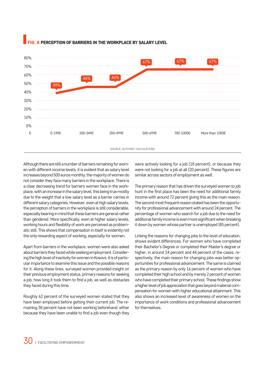

#### PERCEPTION OF BARRIERS IN THE WORKPLACE BY SALARY LEVEL

Although there are still a number of barriers remaining for women with different income levels, it is evident that as salary level increases beyond 500 euros monthly, the majority of women do not consider they face many barriers in the workplace. There is a clear decreasing trend for barriers women face in the workplace, with an increase in the salary level, this being true mostly due to the weight that a low salary level as a barrier carries in different salary categories. However, even at high salary levels, the perception of barriers in the workplace is still considerable, especially bearing in mind that these barriers are general rather than gendered. More specifically, even at higher salary levels, working hours and flexibility of work are perceived as problematic still. This shows that compensation in itself is evidently not the only rewarding aspect of working, especially for women.

Apart from barriers in the workplace, women were also asked about barriers they faced while seeking employment. Considering the high level of inactivity for women in Kosovo, it is of particular importance to examine this issue and the possible reasons for it. Along these lines, surveyed women provided insight on their previous employment status, primary reasons for seeking a job, how long it took them to find a job, as well as obstacles they faced during this time.

Roughly 62 percent of the surveyed women stated that they have been employed before getting their current job. The remaining 38 percent have not been working beforehand; either because they have been unable to find a job even though they

were actively looking for a job (18 percent), or because they were not looking for a job at all (20 percent). These figures are similar across sectors of employment as well.

The primary reason that has driven the surveyed women to job hunt in the first place has been the need for additional family income with around 72 percent giving this as the main reason. The second most frequent reason stated has been the opportunity for professional advancement with around 24 percent. The percentage of women who search for a job due to the need for additional family income is even more significant when breaking it down by women whose partner is unemployed (85 percent).

Linking the reasons for changing jobs to the level of education, shows evident differences. For women who have completed their Bachelor's Degree or completed their Master's degree or higher, in around 24 percent and 44 percent of the cases, respectively, the main reason for changing jobs was better opportunities for professional advancement. The same is claimed as the primary reason by only 16 percent of women who have completed their high school and by merely 2 percent of women who have completed their primary school. These findings show a higher level of job appreciation that goes beyond material compensation for women with higher educational attainment. This also shows an increased level of awareness of women on the importance of work conditions and professional advancement for themselves.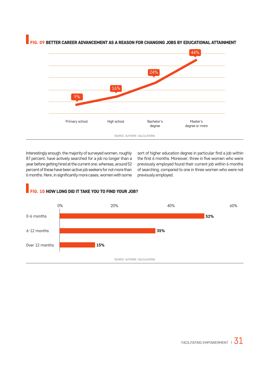

FIG. 09 BETTER CAREER ADVANCEMENT AS A REASON FOR CHANGING JOBS BY EDUCATIONAL ATTAINMENT

Interestingly enough, the majority of surveyed women, roughly 87 percent, have actively searched for a job no longer than a year before getting hired at the current one; whereas, around 52 percent of these have been active job seekers for not more than 6 months. Here, in significantly more cases, women with some sort of higher education degree in particular find a job within the first 6 months. Moreover, three in five women who were previously employed found their current job within 6 months of searching, compared to one in three women who were not previously employed.



#### G. 10 HOW LONG DID IT TAKE YOU TO FIND YOUR JOB?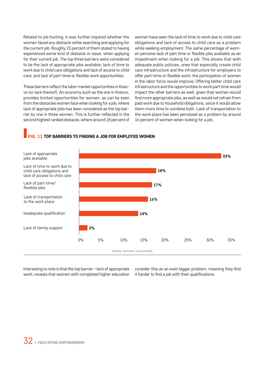Related to job hunting, it was further inquired whether the women faced any obstacle while searching and applying for the current job. Roughly 23 percent of them stated to having experienced some kind of obstacle or issue, when applying for their current job. The top three barriers were considered to be the lack of appropriate jobs available; lack of time to work due to child care obligations and lack of access to child care; and lack of part-time or flexible work opportunities.

These barriers reflect the labor market opportunities in Kosovo (or lack thereof). An economy such as the one in Kosovo, provides limited opportunities for women, as can be seen from the obstacles women face when looking for a job, where lack of appropriate jobs has been considered as the top barrier by one in three women. This is further reflected in the second highest ranked obstacle, where around 18 percent of women have seen the lack of time to work due to child care obligations and lack of access to child care as a problem while seeking employment. The same percentage of women perceive lack of part time or flexible jobs available as an impediment when looking for a job. This shows that with adequate public policies, ones that especially create child care infrastructure and the infrastructure for employers to offer part-time or flexible work, the participation of women in the labor force would improve. Offering better child care infrastructure and the opportunities to work part time would impact the other barriers as well, given that women would find more appropriate jobs, as well as would not refrain from paid work due to household obligations, since it would allow them more time to combine both. Lack of transportation to the work place has been perceived as a problem by around 16 percent of women when looking for a job.

#### **G. 11 TOP BARRIERS TO FINDING A JOB FOR EMPLOYED WOMEN**



Interesting to note is that the top barrier – lack of appropriate work, reveals that women with completed higher education consider this as an even bigger problem, meaning they find it harder to find a job with their qualifications.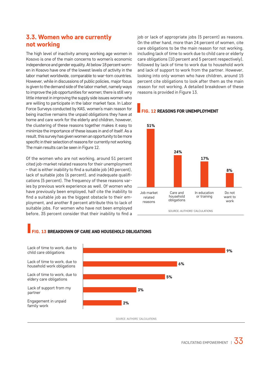#### 3.3. Women who are currently not working

The high level of inactivity among working age women in Kosovo is one of the main concerns to women's economic independence and gender equality. At below 18 percent women in Kosovo have one of the lowest levels of activity in the labor market worldwide, comparable to war-torn countries. However, while in discussions of public policies, major focus is given to the demand side of the labor market, namely ways to improve the job opportunities for women; there is still very little interest in improving the supply side issues women who are willing to participate in the labor market face. In Labor Force Surveys conducted by KAS, women's main reason for being inactive remains the unpaid obligations they have at home and care work for the elderly and children, however, the clustering of these reasons together makes it easy to minimize the importance of these issues in and of itself. As a result, this survey has given women an opportunity to be more specific in their selection of reasons for currently not working. The main results can be seen in Figure 12.

Of the women who are not working, around 51 percent cited job-market related reasons for their unemployment – that is either inability to find a suitable job (40 percent), lack of suitable jobs (6 percent), and inadequate qualifications (5 percent). The frequency of these reasons varies by previous work experience as well. Of women who have previously been employed, half cite the inability to find a suitable job as the biggest obstacle to their employment, and another 8 percent attribute this to lack of suitable jobs. For women who have not been employed before, 35 percent consider that their inability to find a job or lack of appropriate jobs (5 percent) as reasons. On the other hand, more than 24 percent of women, cite care obligations to be the main reason for not working, including lack of time to work due to child care or elderly care obligations (10 percent and 5 percent respectively), followed by lack of time to work due to household work and lack of support to work from the partner. However, looking into only women who have children, around 15 percent cite obligations to look after them as the main reason for not working. A detailed breakdown of these reasons is provided in Figure 13.



#### **12 REASONS FOR UNEMPLOYMENT**

#### **IG. 13 BREAKDOWN OF CARE AND HOUSEHOLD OBLIGATIONS**

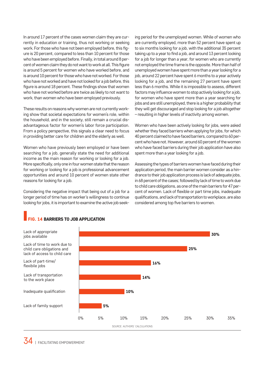In around 17 percent of the cases women claim they are currently in education or training, thus not working or seeking work. For those who have not been employed before, this figure is 20 percent, compared to less than 10 percent for those who have been employed before. Finally, in total around 8 percent of women claim they do not want to work at all. This figure is around 5 percent for women who have worked before, and is around 10 percent for those who have not worked. For those who have not worked and have not looked for a job before, this figure is around 18 percent. These findings show that women who have not worked before are twice as likely to not want to work, than women who have been employed previously.

These results on reasons why women are not currently working show that societal expectations for women's role, within the household, and in the society, still remain a crucial disadvantageous factor for women's labor force participation. From a policy perspective, this signals a clear need to focus in providing better care for children and the elderly as well.

Women who have previously been employed or have been searching for a job, generally state the need for additional income as the main reason for working or looking for a job. More specifically, only one in four women state that the reason for working or looking for a job is professional advancement opportunities and around 10 percent of women state other reasons for looking for a job.

Considering the negative impact that being out of a job for a longer period of time has on worker's willingness to continue looking for jobs, it is important to examine the active job seek-

ing period for the unemployed women. While of women who are currently employed, more than 52 percent have spent up to six months looking for a job, with the additional 35 percent taking up to a year to find a job, and around 13 percent looking for a job for longer than a year, for women who are currently not employed the time frame is the opposite. More than half of unemployed women have spent more than a year looking for a job, around 22 percent have spent 6 months to a year actively looking for a job, and the remaining 27 percent have spent less than 6 months. While it is impossible to assess, different factors may influence women to stop actively looking for a job, for women who have spent more than a year searching for jobs and are still unemployed, there is a higher probability that they will get discouraged and stop looking for a job altogether – resulting in higher levels of inactivity among women.

Women who have been actively looking for jobs, were asked whether they faced barriers when applying for jobs, for which 40 percent claimed to have faced barriers, compared to 60 percent who have not. However, around 60 percent of the women who have faced barriers during their job application have also spent more than a year looking for a job.

Assessing the types of barriers women have faced during their application period, the main barrier women consider as a hindrance to their job application process is lack of adequate jobs, in 68 percent of the cases; followed by lack of time to work due to child care obligations, as one of the main barriers for 47 percent of women. Lack of flexible or part time jobs, inadequate qualifications, and lack of transportation to workplace, are also considered among top five barriers to women.



#### FIG. 14 BARRIERS TO JOB APPLICATION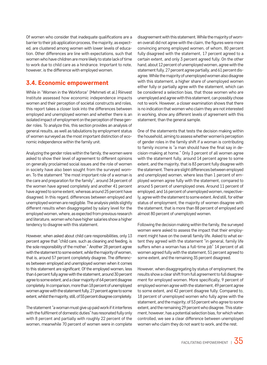Of women who consider that inadequate qualifications are a barrier to their job application process, the majority, as expected, are clustered among women with lower levels of education. Other differences are line with expectations, such that women who have children are more likely to state lack of time to work due to child care as a hindrance. Important to note, however, is the difference with employed women.

#### 3.4. Economic empowerment

While in "Women in the Workforce" (Mehmeti et al.) Riinvest Institute assessed how economic independence impacts women and their perception of societal constructs and roles, this report takes a closer look into the differences between employed and unemployed women and whether there is an isolated impact of employment on the perception of these gender roles. To analyze this, this section provides an analysis of general results, as well as tabulations by employment status of women surveyed as the most important distinction of economic independence within the family unit.

Analyzing the gender roles within the family, the women were asked to show their level of agreement to different opinions on generally proclaimed social issues and the role of women in society have also been sought from the surveyed women. To the statement "the most important role of a woman is the care and preparation for the family", around 34 percent of the women have agreed completely and another 41 percent have agreed to some extent, whereas around 25 percent have disagreed. In this regard, differences between employed and unemployed women are negligible. The analysis yields slightly different results when disaggregated by salary level for the employed women, where, as expected from previous research and literature, women who have higher salaries show a higher tendency to disagree with this statement.

However, when asked about child care responsibilities, only 13 percent agree that "child care, such as cleaning and feeding, is the sole responsibility of the mother." Another 28 percent agree with the statement to some extent, while the majority of women, that is, around 57 percent completely disagree. The differences between employed and unemployed women when it comes to this statement are significant. Of the employed women, less than 6 percent fully agree with the statement, around 30 percent agree to some extent, and a clear majority of 64 percent disagree completely. In comparison, more than 18 percent of unemployed women agree with the statement fully, 27 percent agree to some extent, whilst the majority, still, of 55 percent disagree completely.

The statement "a woman must give up paid work if it interferes with the fulfilment of domestic duties" has resonated fully only with 8 percent and partially with roughly 22 percent of the women, meanwhile 70 percent of women were in complete

disagreement with this statement. While the majority of women overall did not agree with the claim, the figures were more convincing among employed women, of whom, 80 percent fully disagreed with the statement, 17 percent agreed to a certain extent, and only 3 percent agreed fully. On the other hand, about 12 percent of unemployed women, agree with the statement fully, 27 percent agree partially, and 61 percent disagree. While the majority of unemployed women also disagree with this statement, a higher share of unemployed women either fully or partially agree with the statement, which can be considered a selection bias, that those women who are unemployed and agree with this statement, can possibly chose not to work. However, a closer examination shows that there is no indication that women who claim they are not interested in working, show any different levels of agreement with this statement, than the general sample.

One of the statements that tests the decision making within the household, aiming to assess whether women's perception of gender roles in the family shift if a woman is contributing to family income is "a man should have the final say in decision-making at home." Only 3 percent of all women agree with the statement fully, around 14 percent agree to some extent, and the majority, that is 83 percent fully disagree with the statement. There are slight differences between employed and unemployed women, where less than 1 percent of employed women agree fully with the statement, compared to around 5 percent of unemployed ones. Around 11 percent of employed, and 16 percent of unemployed women, respectively, agree with the statement to some extent. And still, for either status of employment, the majority of women disagree with the statement, that is more than 88 percent of employed and almost 80 percent of unemployed women.

Following the decision making within the family, the surveyed women were asked to assess the impact that their employment might have on the overall family life. Asked to what extent they agreed with the statement "in general, family life suffers when a woman has a full-time job" 14 percent of all women agreed fully with the statement, 51 percent agreed to some extent, and the remaining 35 percent disagreed.

However, when disaggregating by status of employment, the results show a clear shift from full agreement to full disagreement for employed women. More specifically, 9 percent of employed women agree with the statement, 49 percent agree to some extent, and 42 percent disagree fully. Compared to, 18 percent of unemployed women who fully agree with the statement, and the majority, of 53 percent who agree to some extent, and the remaining 29 percent who disagree. This statement, however, has a potential selection bias, for which when controlled, we see a clear difference between unemployed women who claim they do not want to work, and the rest.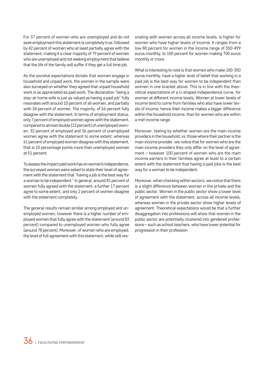For 37 percent of women who are unemployed and do not seek employment this statement is completely true, followed by 42 percent of women who at least partially agree with the statement, making it a clear majority of 79 percent of women who are unemployed and not seeking employment that believe that the life of the family will suffer if they get a full time job.

As the societal expectations dictate that women engage in household and unpaid work, the women in the sample were also surveyed on whether they agreed that unpaid household work is as appreciated as paid work. The declaration "being a stay-at-home wife is just as valued as having a paid job" fully resonates with around 10 percent of all women, and partially with 34 percent of women. The majority, of 56 percent fully disagree with the statement. In terms of employment status, only 7 percent of employed women agree with the statement, compared to almost double (13 percent) of unemployed women. 32 percent of employed and 36 percent of unemployed women agree with the statement to some extent; whereas 61 percent of employed women disagree with this statement, that is 10 percentage points more than unemployed women at 51 percent.

To assess the impact paid work has on women's independence, the surveyed women were asked to state their level of agreement with the statement that "having a job is the best way for a woman to be independent." In general, around 81 percent of women fully agreed with the statement, a further 17 percent agree to some extent, and only 2 percent of women disagree with the statement completely.

The general results remain similar among employed and unemployed women, however there is a higher number of employed women that fully agree with the statement (around 83 percent) compared to unemployed women who fully agree (around 78 percent). Moreover, of women who are employed, the level of full agreement with this statement, while still resonating with women across all income levels, is higher for women who have higher levels of income. It ranges from a low 80 percent for women in the income range of 350-499 euros monthly, to 100 percent for women making 700 euros monthly or more.

What is interesting to note is that women who make 100-350 euros monthly, have a higher level of belief that working in a paid job is the best way for women to be independent than women in one bracket above. This is in line with the theoretical expectations of a U-shaped independence curve, for women at different income levels. Women at lower levels of income tend to come from families who also have lower levels of income, hence their income makes a bigger difference within the household income, than for women who are within a mid-income range.

Moreover, testing by whether women are the main income providers in the household, vs. those where their partner is the main income provider, we notice that for women who are the main income providers they only differ on the level of agreement – however 100 percent of women who are the main income earners in their families agree at least to a certain extent with the statement that having a paid jobs is the best way for a woman to be independent.

Moreover, when checking within sectors, we notice that there is a slight difference between women in the private and the public sector. Women in the public sector show a lower level of agreement with the statement, across all income levels, whereas women in the private sector show higher levels of agreement. Theoretical expectations would be that a further disaggregation into professions will show that women in the public sector are potentially clustered into gendered professions – such as school teachers, who have lower potential for progression in their profession.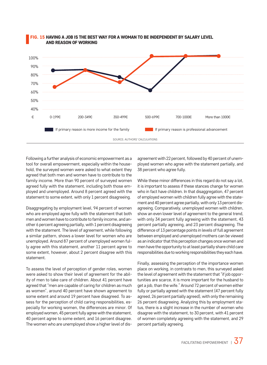

#### FIG. 15 HAVING A JOB IS THE BEST WAY FOR A WOMAN TO BE INDEPENDENT BY SALARY LEVEL AND REASON OF WORKING

Following a further analysis of economic empowerment as a tool for overall empowerment, especially within the household, the surveyed women were asked to what extent they agreed that both men and women have to contribute to the family income. More than 90 percent of surveyed women agreed fully with the statement, including both those employed and unemployed. Around 8 percent agreed with the statement to some extent, with only 1 percent disagreeing.

Disaggregating by employment level, 94 percent of women who are employed agree fully with the statement that both men and women have to contribute to family income, and another 6 percent agreeing partially, with 1 percent disagreeing with the statement. The level of agreement, while following a similar pattern, shows a lower level for women who are unemployed. Around 87 percent of unemployed women fully agree with this statement, another 11 percent agree to some extent, however, about 2 percent disagree with this statement.

To assess the level of perception of gender roles, women were asked to show their level of agreement for the ability of men to take care of children. About 41 percent have agreed that "men are capable of caring for children as much as women", around 40 percent have shown agreement to some extent and around 19 percent have disagreed. To assess for the perception of child caring responsibilities, especially for working women, the differences are minor. Of employed women, 45 percent fully agree with the statement, 40 percent agree to some extent, and 16 percent disagree. The women who are unemployed show a higher level of disagreement with 22 percent, followed by 40 percent of unemployed women who agree with the statement partially, and 38 percent who agree fully.

While these minor differences in this regard do not say a lot, it is important to assess if these stances change for women who in fact have children. In that disaggregation, 47 percent of employed women with children fully agree with the statement and 40 percent agree partially, with only 13 percent disagreeing. Comparatively, unemployed women with children, show an even lower level of agreement to the general trend, with only 34 percent fully agreeing with the statement, 43 percent partially agreeing, and 23 percent disagreeing. The difference of 13 percentage points in levels of full agreement between employed and unemployed mothers can be viewed as an indicator that this perception changes once women and men have the opportunity to at least partially share child care responsibilities due to working responsibilities they each have.

Finally, assessing the perception of the importance women place on working, in contrasts to men, this surveyed asked the level of agreement with the statement that "if job opportunities are scarce, it is more important for the husband to get a job, than the wife." Around 72 percent of women either fully or partially agreed with the statement (47 percent fully agreed, 26 percent partially agreed), with only the remaining 26 percent disagreeing. Analyzing this by employment status, there is a slight increase in the number of women who disagree with the statement, to 30 percent, with 41 percent of women completely agreeing with the statement, and 29 percent partially agreeing.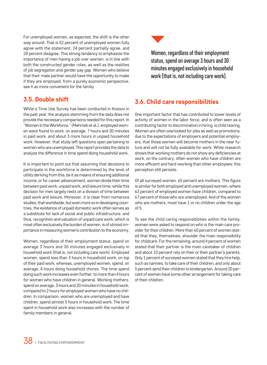For unemployed women, as expected, the shift is the other way around. That is 52 percent of unemployed women fully agree with the statement, 24 percent partially agree, and 24 percent disagree. This strong tendency to emphasize the importance of men having a job over women, is in line with both the constructed gender roles, as well as the realities of job segregation and gender pay gap. Women who believe that their male partner would have the opportunity to make if they are employed, from a purely economic perspective, see it as more convenient for the family.

#### 3.5. Double shift

While a Time Use Survey has been conducted in Kosovo in the past year, the analysis stemming from the data does not provide the necessary comparisons needed for this report. In "Women in the Workforce," (Mehmeti et al.), employed women were found to work, on average, 7 hours and 30 minutes in paid work, and about 3 more hours in unpaid household work. However, that study left questions open pertaining to women who are unemployed. This report provides the data to analyze the difference in time spend doing household work.

It is important to point out that assuming that decisions to participate in the workforce is determined by the level of utility deriving from this, be it as means of ensuring additional income, or for career advancement, women divide their time between paid work, unpaid work, and leisure time; while this decision for men largely rests on a division of time between paid work and leisure. Moreover, it is clear from numerous studies, that worldwide, but even more so in developing countries, the existence of unpaid domestic work often serves as a substitute for lack of social and public infrastructure, and thus, recognition and valuation of unpaid care work, which is most often exclusively the burden of women, is of utmost importance in measuring women's contribution to the economy.

Women, regardless of their employment status, spend on average 3 hours and 30 minutes engaged exclusively in household work (that is, not including care work). Employed women, spend less than 3 hours in household work, on top of their paid work, whereas, unemployed women, spend, on average, 4 hours doing household chores. The time spend doing such work increases even further, to more than 4 hours for women who have children in general. Working mothers, spend on average, 3 hours and 20 minutes in household work, compared to 2 hours for employed women who have no children. In comparison, women who are unemployed and have children, spend almost 5 hours in household work. The time spent in household work also increases with the number of family members in general.



Women, regardless of their employment status, spend on average 3 hours and 30 minutes engaged exclusively in household work (that is, not including care work).

#### 3.6. Child care responsibilities

One important factor that has contributed to lower levels of activity of women in the labor force, and is often seen as a contributing factor to discrimination in hiring, is child rearing. Women are often overlooked for jobs as well as promotions, due to the expectations of employers and potential employers, that those women will become mothers in the near future and will not be fully available for work. While research shows that working mothers do not show any deficiencies at work, on the contrary, often women who have children are more efficient and hard-working than other employees; this perception still persists.

Of all surveyed women, 65 percent are mothers. This figure is similar for both employed and unemployed women, where 63 percent of employed women have children, compared to 67 percent of those who are unemployed. And of the women who are mothers, most have 1 or no children under the age of 5.

To see the child caring responsibilities within the family, women were asked to respond on who is the main care provider for their children. More than 60 percent of women stated that they, themselves, shoulder the main responsibility for childcare. For the remaining, around 4 percent of women stated that their partner is the main caretaker of children and about 10 percent rely on their or their partner's parents. Only 1 percent of surveyed women stated that they hire help, such as nannies, to take care of their children, and only about 5 percent send their children to kindergarten. Around 20 percent of women have some other arrangement for taking care of their children.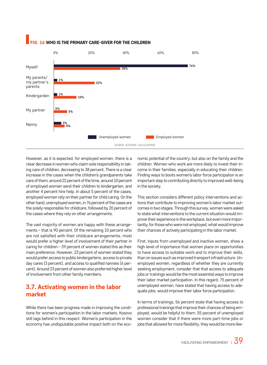

#### FIG. 16 WHO IS THE PRIMARY CARE-GIVER FOR THE CHILDREN

However, as it is expected, for employed women, there is a clear decrease in women who claim sole responsibility in taking care of children, decreasing to 38 percent. There is a clear increase in the cases when the children's grandparents take care of them, around 22 percent of the time, around 10 percent of employed women send their children to kindergarten, and another 4 percent hire help. In about 5 percent of the cases, employed women rely on their partner for child caring. On the other hand, unemployed women, in 76 percent of the cases are the solely responsible for childcare, followed by 20 percent of the cases where they rely on other arrangements.

The vast majority of women are happy with these arrangements – that is 90 percent. Of the remaining 10 percent who are not satisfied with their childcare arrangements, most would prefer a higher level of involvement of their partner in caring for children – 39 percent of women stated this as their main preference. However, 23 percent of women stated they would prefer access to public kindergartens, access to private day cares (3 percent), and access to qualified nannies (6 percent). Around 23 percent of women also preferred higher level of involvement from other family members.

#### 3.7. Activating women in the labor market

While there has been progress made in improving the conditions for women's participation in the labor markets, Kosovo still lags behind in this respect. Women's participation in the economy has undisputable positive impact both on the economic potential of the country, but also on the family and the children. Women who work are more likely to invest their income in their families, especially in educating their children. Finding ways to boots women's labor force participation is an important step to contributing directly to improved well-being in the society.

This section considers different policy interventions and actions that contribute to improving women's labor market outcomes in two stages. Through this survey, women were asked to state what interventions to the current situation would improve their experience in the workplace, but even more importantly, for those who were not employed, what would improve their chances of actively participating in the labor market.

First, inputs from unemployed and inactive women, show a high level of importance that women place on opportunities to have access to suitable work and to improve their skills, than on issues such as improved transport infrastructure. Unemployed women, regardless of whether they are currently seeking employment, consider that that access to adequate jobs or trainings would be the most essential ways to improve their labor market participation. In this regard, 75 percent of unemployed women, have stated that having access to adequate jobs, would improve their labor force participation.

In terms of trainings, 56 percent state that having access to professional trainings that improve their chances of being employed, would be helpful to them. 55 percent of unemployed women consider that if there were more part-time jobs or jobs that allowed for more flexibility, they would be more like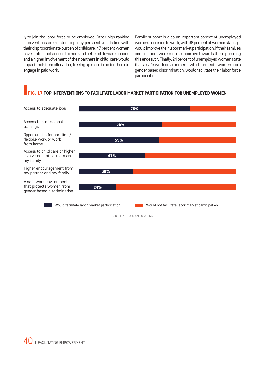ly to join the labor force or be employed. Other high ranking interventions are related to policy perspectives. In line with their disproportionate burden of childcare, 47 percent women have stated that access to more and better child-care options and a higher involvement of their partners in child-care would impact their time allocation, freeing up more time for them to engage in paid work.

Family support is also an important aspect of unemployed women's decision to work, with 38 percent of women stating it would improve their labor market participation, if their families and partners were more supportive towards them pursuing this endeavor. Finally, 24 percent of unemployed women state that a safe work environment, which protects women from gender based discrimination, would facilitate their labor force participation.

#### FIG. 17 TOP INTERVENTIONS TO FACILITATE LABOR MARKET PARTICIPATION FOR UNEMPLOYED WOMEN

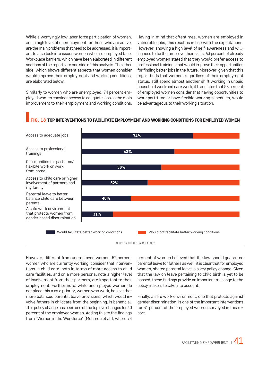While a worryingly low labor force participation of women, and a high level of unemployment for those who are active, are the main problems that need to be addressed, it is important to also look into issues women who are employed face. Workplace barriers, which have been elaborated in different sections of the report, are one side of this analysis. The other side, which shows different aspects that women consider would improve their employment and working conditions, are elaborated below.

Similarly to women who are unemployed, 74 percent employed women consider access to adequate jobs as the main improvement to their employment and working conditions.

trainings

from home

my family

parents

Having in mind that oftentimes, women are employed in vulnerable jobs, this result is in line with the expectations. However, showing a high level of self-awareness and willingness to further improve their skills, 63 percent of already employed women stated that they would prefer access to professional trainings that would improve their opportunities for finding better jobs in the future. Moreover, given that this report finds that women, regardless of their employment status, still spend almost another shift working in unpaid household work and care work, it translates that 58 percent of employed women consider that having opportunities to work part-time or have flexible working schedules, would be advantageous to their working situation.

#### G. 18 TOP INTERVENTIONS TO FACILITATE EMPLOYMENT AND WORKING CONDITIONS FOR EMPLOYED WOMEN



SOURCE: AUTHORS' CALCULATIONS

However, different from unemployed women, 52 percent women who are currently working, consider that interventions in child care, both in terms of more access to child care facilities, and on a more personal note a higher level of involvement from their partners, are important to their employment. Furthermore, while unemployed women do not place this a as a priority, women who work, believe that more balanced parental leave provisions, which would involve fathers in childcare from the beginning, is beneficial. This policy change has been one of the top five changes for 40 percent of the employed women. Adding this to the findings from "Women in the Workforce" (Mehmeti et al.), where 74

percent of women believed that the law should guarantee parental leave for fathers as well, it is clear that for employed women, shared parental leave is a key policy change. Given that the law on leave pertaining to child birth is yet to be passed, these findings provide an important message to the policy makers to take into account.

Finally, a safe work environment, one that protects against gender discrimination, is one of the important interventions for 31 percent of the employed women surveyed in this report.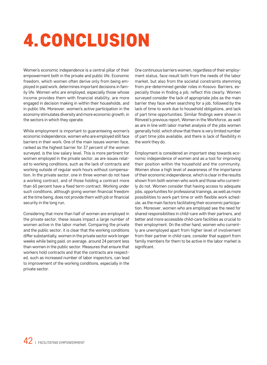### 4.CONCLUSION

Women's economic independence is a central pillar of their empowerment both in the private and public life. Economic freedom, which women often derive only from being employed in paid work, determines important decisions in family life. Women who are employed, especially those whose income provides them with financial stability, are more engaged in decision making in within their households, and in public life. Moreover, women's active participation in the economy stimulates diversity and more economic growth, in the sectors in which they operate.

While employment is important to guaranteeing women's economic independence, women who are employed still face barriers in their work. One of the main issues women face, ranked as the highest barrier for 37 percent of the women surveyed, is the low salary level. This is more pertinent for women employed in the private sector, as are issues related to working conditions, such as the lack of contracts and working outside of regular work hours without compensation. In the private sector, one in three women do not have a working contract, and of those holding a contract more than 60 percent have a fixed term contract. Working under such conditions, although giving women financial freedom at the time being, does not provide them with job or financial security in the long run.

Considering that more than half of women are employed in the private sector, these issues impact a large number of women active in the labor market. Comparing the private and the public sector, it is clear that the working conditions differ substantially, women in the private sector work longer weeks while being paid, on average, around 24 percent less than women in the public sector. Measures that ensure that workers hold contracts and that the contracts are respected, such as increased number of labor inspectors, can lead to improvement of the working conditions, especially in the private sector.

One continuous barriers women, regardless of their employment status, face result both from the needs of the labor market, but also from the societal constraints stemming from pre-determined gender roles in Kosovo. Barriers, especially those in finding a job, reflect this clearly. Women surveyed consider the lack of appropriate jobs as the main barrier they face when searching for a job, followed by the lack of time to work due to household obligations, and lack of part time opportunities. Similar findings were shown in Riinvest's previous report, Women in the Workforce, as well as are in line with labor market analysis of the jobs women generally hold, which show that there is very limited number of part time jobs available, and there is lack of flexibility in the work they do.

Employment is considered an important step towards economic independence of women and as a tool for improving their position within the household and the community. Women show a high level of awareness of the importance of their economic independence, which is clear in the results shown from both women who work and those who currently do not. Women consider that having access to adequate jobs, opportunities for professional trainings, as well as more possibilities to work part time or with flexible work schedule, as the main factors facilitating their economic participation. Moreover, women who are employed see the need for shared responsibilities in child-care with their partners, and better and more accessible child-care facilities as crucial to their employment. On the other hand, women who currently are unemployed apart from higher level of involvement from their partner in child-care, consider that support from family members for them to be active in the labor market is significant.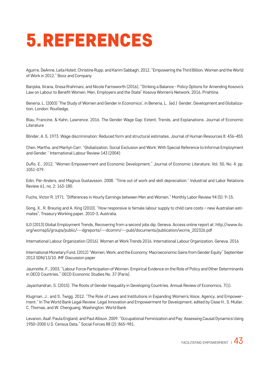### 5.REFERENCES

Aguirre, DeAnne, Leila Hoteit, Christine Rupp, and Karim Sabbagh, 2012, "Empowering the Third Billion. Women and the World of Work in 2012," Booz and Company

Banjska, Ilirana, Gresa Rrahmani, and Nicole Farnsworth (2016), "Striking a Balance - Policy Options for Amending Kosovo's Law on Labour to Benefit Women, Men, Employers and the State" Kosova Women's Network, 2016. Prishtina

Beneria, L. (2003) 'The Study of Women and Gender in Economics', in Beneria, L. (ed.) Gender, Development and Globalization, London: Routledge,

Blau, Francine, & Kahn, Lawrence. 2016. The Gender Wage Gap: Extent, Trends, and Explanations. Journal of Economic Literature

Blinder, A. S. 1973. Wage discrimination: Reduced form and structural estimates. Journal of Human Resources 8: 436–455

Chen, Martha, and Marilyn Carr. "Globalization, Social Exclusion and Work: With Special Reference to Informal Employment and Gender." International Labour Review 143 (2004):

Duflo, E., 2012, "Women Empowerment and Economic Development," Journal of Economic Literature, Vol. 50, No. 4: pp. 1051-079.

Edin, Per-Anders, and Magnus Gustavsson. 2008. "Time out of work and skill depreciation." Industrial and Labor Relations Review 61, no. 2: 163-180.

Fuchs, Victor R. 1971. "Differences in Hourly Earnings between Men and Women." Monthly Labor Review 94 (5): 9-15.

Gong, X., R. Breunig and A. King (2010), "How responsive is female labour supply to child care costs – new Australian estimates", Treasury Working paper, 2010-3, Australia.

ILO (2013) Global Employment Trends, Recovering from a second jobs dip, Geneva. Access online report at: http://www.ilo. org/wcmsp5/groups/public/---dgreports/---dcomm/---publ/documents/publication/wcms\_202326.pdf

International Labour Organization (2016). Women at Work Trends 2016. International Labour Organization. Geneva. 2016

International Monetary Fund, (2012) "Women, Work, and the Economy: Macroeconomic Gains from Gender Equity" September 2013 SDN/13/10. IMF Discussion paper

Jaumotte, F., 2003, "Labour Force Participation of Women. Empirical Evidence on the Role of Policy and Other Determinants in OECD Countries," OECD Economic Studies No. 37 (Paris).

Jayachandran, S. (2015). The Roots of Gender Inequality in Developing Countries. Annual Review of Economics, 7(1).

Klugman, J., and S. Twigg. 2012. "The Role of Laws and Institutions in Expanding Women's Voice, Agency, and Empowerment." In The World Bank Legal Review: Legal Innovation and Empowerment for Development, edited by Cisse H., S. Muller, C. Thomas, and W. Chenguang. Washington: World Bank

Levanon, Asaf, Paula England, and Paul Allison. 2009. "Occupational Feminization and Pay: Assessing Causal Dynamics Using 1950–2000 U.S. Census Data." Social Forces 88 (2): 865–981.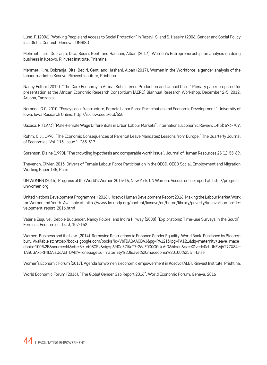Lund. F. (2006) "Working People and Access to Social Protection" in Razavi, S. and S. Hassim (2006) Gender and Social Policy in a Global Context. Geneva: UNRISD

Mehmeti, Ilire, Dobranja, Dita, Beqiri, Gent, and Hashani, Alban (2017), Women's Entrepreneruship: an analysis on doing business in Kosovo, Riinvest Institute, Prishtina.

Mehmeti, Ilire, Dobranja, Dita, Beqiri, Gent, and Hashani, Alban (2017), Women in the Workforce: a gender analysis of the labour market in Kosovo, Riinvest Institute, Prishtina.

Nancy Folbre (2012). "The Care Economy in Africa: Subsistence Production and Unpaid Care." Plenary paper prepared for presentation at the African Economic Research Consortium (AERC) Biannual Research Workshop, December 2-5, 2012, Arusha, Tanzania.

Norando, G.C. 2010. "Essays on Infrastructure, Female Labor Force Participation and Economic Development." University of Iowa, Iowa Research Online. http://ir.uiowa.edu/etd/658.

Oaxaca, R. (1973) "Male-Female Wage Differentials in Urban Labour Markets", International Economic Review, 14(3): 693-709.

Ruhm, C.J., 1998, "The Economic Consequences of Parental Leave Mandates: Lessons from Europe," The Quarterly Journal of Economics, Vol. 113, Issue 1: 285-317.

Sorenson, Elaine (1990), "The crowding hypothesis and comparable worth issue", Journal of Human Resources 25 (1): 55-89.

Thévenon, Olivier. 2013. Drivers of Female Labour Force Participation in the OECD, OECD Social, Employment and Migration Working Paper 145, Paris

UN WOMEN (2015). Progress of the World's Women 2015-16, New York: UN Women. Access online report at: http://progress. unwomen.org

United Nations Development Programme. (2016). Kosovo Human Development Report 2016: Making the Labour Market Work tor Women tnd Youth. Available at: http://www.ks.undp.org/content/kosovo/en/home/library/poverty/kosovo-human-development-report-2016.html

Valeria Esquivel, Debbie Budlender, Nancy Folbre, and Indira Hirway (2008) "Explorations: Time-use Surveys in the South", Feminist Economics, 14: 3, 107‐152

Women, Business and the Law. (2014). Removing Restrictions to Enhance Gender Equality. World Bank. Published by Bloomsbury. Available at: https://books.google.com/books?id=VbTDAQAAQBAJ&pg=PA121&lpg=PA121&dq=maternity+leave+macedonia+100%25&source=bl&ots=5e\_et08OEv&sig=p6MOe37lKoT7-26JZ0DQOGUrV-Q&hl=en&sa=X&ved=0ahUKEwjV277X84r-TAhUGAxoKHfI3AisQ6AEITDAI#v=onepage&q=maternity%20leave%20macedonia%20100%25&f=false

Women's Economic Forum (2017), Agenda for women's economic empowerment in Kosovo (ALB), Riinvest Institute, Prishtina.

World Economic Forum (2016). "The Global Gender Gap Report 2016". World Economic Forum. Geneva. 2016